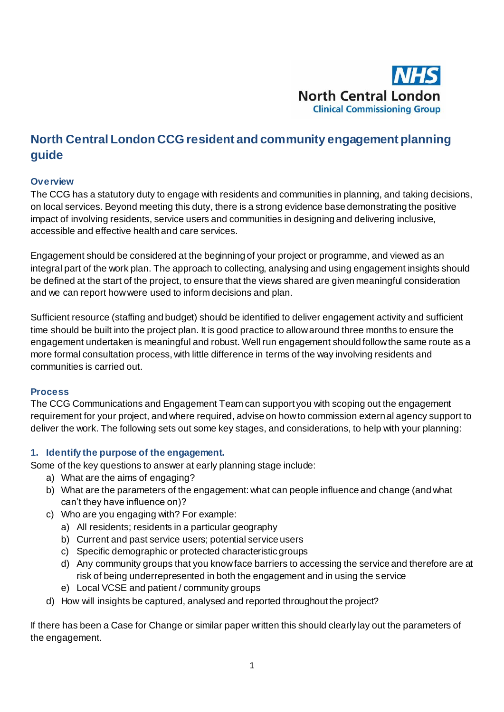

# **North Central London CCG resident and community engagement planning guide**

#### **Overview**

The CCG has a statutory duty to engage with residents and communities in planning, and taking decisions, on local services. Beyond meeting this duty, there is a strong evidence base demonstrating the positive impact of involving residents, service users and communities in designing and delivering inclusive, accessible and effective health and care services.

Engagement should be considered at the beginning of your project or programme, and viewed as an integral part of the work plan. The approach to collecting, analysing and using engagement insights should be defined at the start of the project, to ensure that the views shared are given meaningful consideration and we can report how were used to inform decisions and plan.

Sufficient resource (staffing and budget) should be identified to deliver engagement activity and sufficient time should be built into the project plan. It is good practice to allow around three months to ensure the engagement undertaken is meaningful and robust. Well run engagement should follow the same route as a more formal consultation process, with little difference in terms of the way involving residents and communities is carried out.

#### **Process**

The CCG Communications and Engagement Team can support you with scoping out the engagement requirement for your project, and where required, advise on how to commission external agency support to deliver the work. The following sets out some key stages, and considerations, to help with your planning:

#### **1. Identify the purpose of the engagement.**

Some of the key questions to answer at early planning stage include:

- a) What are the aims of engaging?
- b) What are the parameters of the engagement: what can people influence and change (and what can't they have influence on)?
- c) Who are you engaging with? For example:
	- a) All residents; residents in a particular geography
	- b) Current and past service users; potential service users
	- c) Specific demographic or protected characteristic groups
	- d) Any community groups that you know face barriers to accessing the service and therefore are at risk of being underrepresented in both the engagement and in using the service
	- e) Local VCSE and patient / community groups
- d) How will insights be captured, analysed and reported throughout the project?

If there has been a Case for Change or similar paper written this should clearly lay out the parameters of the engagement.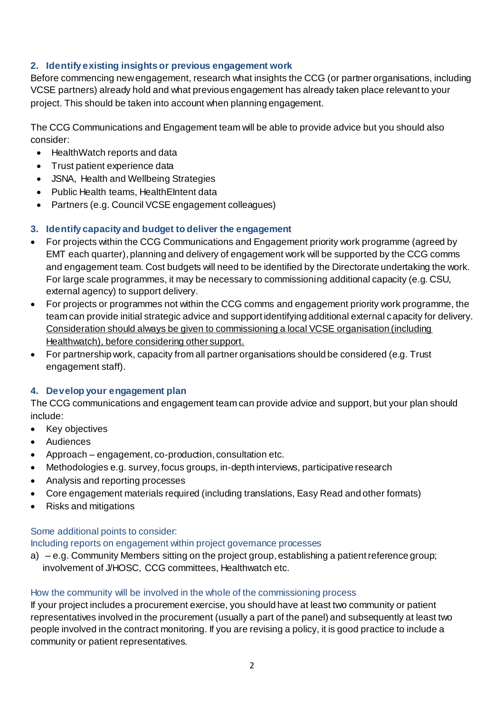# **2. Identify existing insights or previous engagement work**

Before commencing new engagement, research what insights the CCG (or partner organisations, including VCSE partners) already hold and what previous engagement has already taken place relevant to your project. This should be taken into account when planning engagement.

The CCG Communications and Engagement team will be able to provide advice but you should also consider:

- HealthWatch reports and data
- Trust patient experience data
- JSNA, Health and Wellbeing Strategies
- Public Health teams, Health Eintent data
- Partners (e.g. Council VCSE engagement colleagues)

## **3. Identify capacity and budget to deliver the engagement**

- For projects within the CCG Communications and Engagement priority work programme (agreed by EMT each quarter), planning and delivery of engagement work will be supported by the CCG comms and engagement team. Cost budgets will need to be identified by the Directorate undertaking the work. For large scale programmes, it may be necessary to commissioning additional capacity (e.g. CSU, external agency) to support delivery.
- For projects or programmes not within the CCG comms and engagement priority work programme, the team can provide initial strategic advice and support identifying additional external capacity for delivery. Consideration should always be given to commissioning a local VCSE organisation (including Healthwatch), before considering other support.
- For partnership work, capacity from all partner organisations should be considered (e.g. Trust engagement staff).

## **4. Develop your engagement plan**

The CCG communications and engagement team can provide advice and support, but your plan should include:

- Key objectives
- Audiences
- Approach engagement, co-production, consultation etc.
- Methodologies e.g. survey, focus groups, in-depth interviews, participative research
- Analysis and reporting processes
- Core engagement materials required (including translations, Easy Read and other formats)
- Risks and mitigations

## Some additional points to consider:

Including reports on engagement within project governance processes

a) – e.g. Community Members sitting on the project group, establishing a patient reference group; involvement of J/HOSC, CCG committees, Healthwatch etc.

## How the community will be involved in the whole of the commissioning process

If your project includes a procurement exercise, you should have at least two community or patient representatives involved in the procurement (usually a part of the panel) and subsequently at least two people involved in the contract monitoring. If you are revising a policy, it is good practice to include a community or patient representatives.